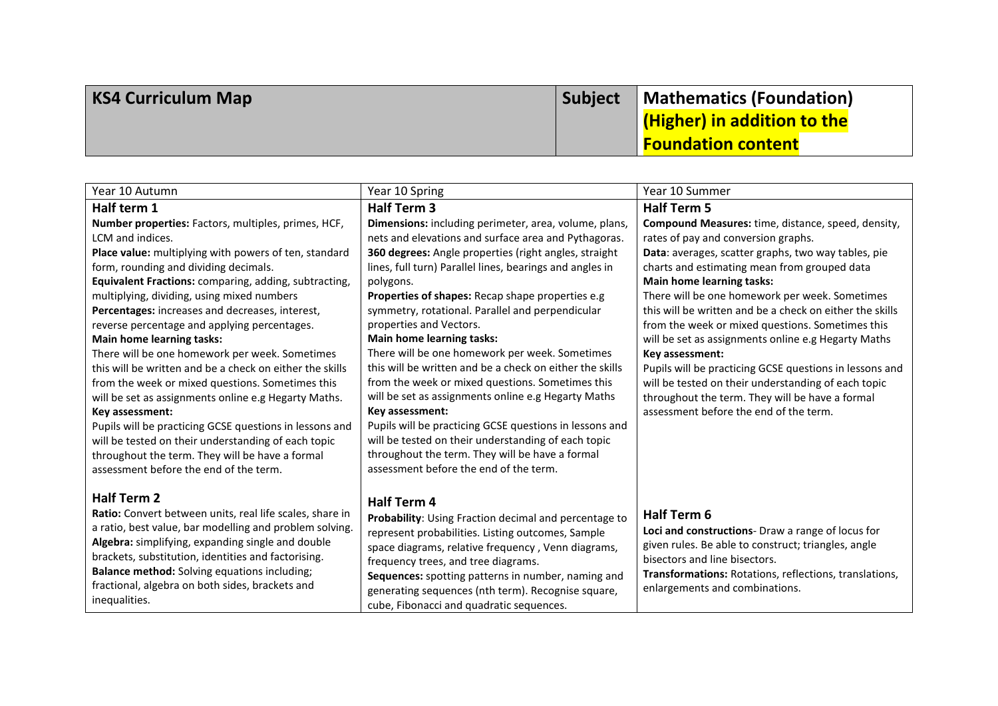| (Higher) in addition to the<br><b>Foundation content</b> | <b>KS4 Curriculum Map</b> | <b>Subject   Mathematics (Foundation)</b> |
|----------------------------------------------------------|---------------------------|-------------------------------------------|
|                                                          |                           |                                           |
|                                                          |                           |                                           |

| Year 10 Autumn                                           | Year 10 Spring                                           | Year 10 Summer                                           |
|----------------------------------------------------------|----------------------------------------------------------|----------------------------------------------------------|
| Half term 1                                              | Half Term 3                                              | <b>Half Term 5</b>                                       |
| Number properties: Factors, multiples, primes, HCF,      | Dimensions: including perimeter, area, volume, plans,    | Compound Measures: time, distance, speed, density,       |
| LCM and indices.                                         | nets and elevations and surface area and Pythagoras.     | rates of pay and conversion graphs.                      |
| Place value: multiplying with powers of ten, standard    | 360 degrees: Angle properties (right angles, straight    | Data: averages, scatter graphs, two way tables, pie      |
| form, rounding and dividing decimals.                    | lines, full turn) Parallel lines, bearings and angles in | charts and estimating mean from grouped data             |
| Equivalent Fractions: comparing, adding, subtracting,    | polygons.                                                | <b>Main home learning tasks:</b>                         |
| multiplying, dividing, using mixed numbers               | Properties of shapes: Recap shape properties e.g         | There will be one homework per week. Sometimes           |
| Percentages: increases and decreases, interest,          | symmetry, rotational. Parallel and perpendicular         | this will be written and be a check on either the skills |
| reverse percentage and applying percentages.             | properties and Vectors.                                  | from the week or mixed questions. Sometimes this         |
| <b>Main home learning tasks:</b>                         | <b>Main home learning tasks:</b>                         | will be set as assignments online e.g Hegarty Maths      |
| There will be one homework per week. Sometimes           | There will be one homework per week. Sometimes           | Key assessment:                                          |
| this will be written and be a check on either the skills | this will be written and be a check on either the skills | Pupils will be practicing GCSE questions in lessons and  |
| from the week or mixed questions. Sometimes this         | from the week or mixed questions. Sometimes this         | will be tested on their understanding of each topic      |
| will be set as assignments online e.g Hegarty Maths.     | will be set as assignments online e.g Hegarty Maths      | throughout the term. They will be have a formal          |
| Key assessment:                                          | Key assessment:                                          | assessment before the end of the term.                   |
| Pupils will be practicing GCSE questions in lessons and  | Pupils will be practicing GCSE questions in lessons and  |                                                          |
| will be tested on their understanding of each topic      | will be tested on their understanding of each topic      |                                                          |
| throughout the term. They will be have a formal          | throughout the term. They will be have a formal          |                                                          |
| assessment before the end of the term.                   | assessment before the end of the term.                   |                                                          |
|                                                          |                                                          |                                                          |
| <b>Half Term 2</b>                                       | <b>Half Term 4</b>                                       |                                                          |
| Ratio: Convert between units, real life scales, share in | Probability: Using Fraction decimal and percentage to    | <b>Half Term 6</b>                                       |
| a ratio, best value, bar modelling and problem solving.  | represent probabilities. Listing outcomes, Sample        | Loci and constructions- Draw a range of locus for        |
| Algebra: simplifying, expanding single and double        | space diagrams, relative frequency, Venn diagrams,       | given rules. Be able to construct; triangles, angle      |
| brackets, substitution, identities and factorising.      | frequency trees, and tree diagrams.                      | bisectors and line bisectors.                            |
| Balance method: Solving equations including;             | Sequences: spotting patterns in number, naming and       | Transformations: Rotations, reflections, translations,   |
| fractional, algebra on both sides, brackets and          | generating sequences (nth term). Recognise square,       | enlargements and combinations.                           |
| inequalities.                                            | cube, Fibonacci and quadratic sequences.                 |                                                          |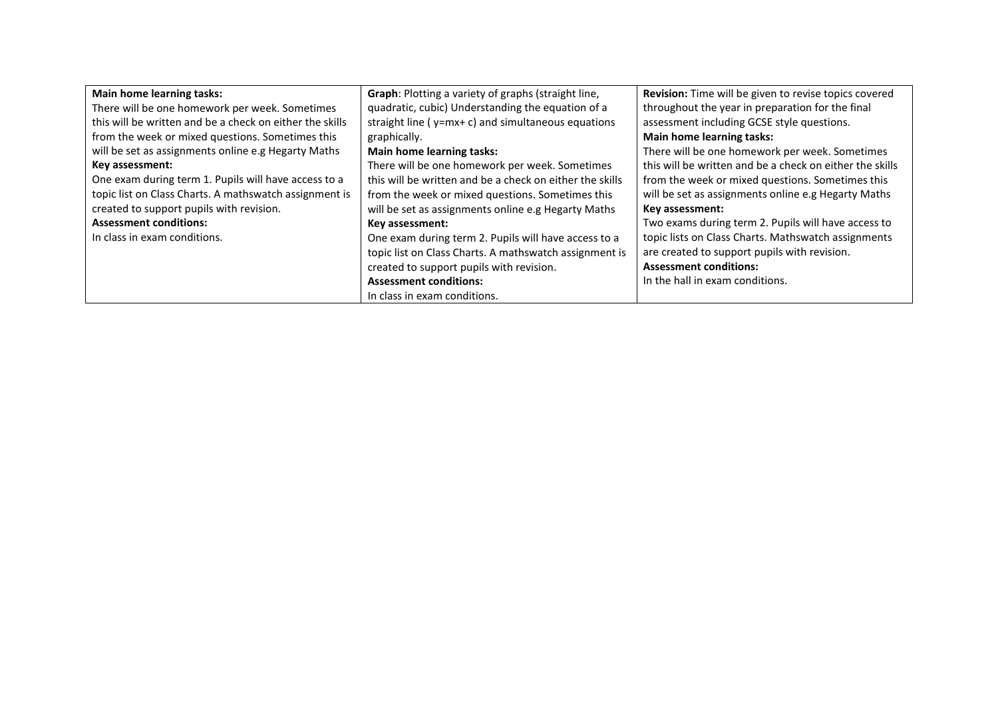| <b>Main home learning tasks:</b>                         | Graph: Plotting a variety of graphs (straight line,      | Revision: Time will be given to revise topics covered    |
|----------------------------------------------------------|----------------------------------------------------------|----------------------------------------------------------|
| There will be one homework per week. Sometimes           | quadratic, cubic) Understanding the equation of a        | throughout the year in preparation for the final         |
| this will be written and be a check on either the skills | straight line (y=mx+ c) and simultaneous equations       | assessment including GCSE style questions.               |
| from the week or mixed questions. Sometimes this         | graphically.                                             | Main home learning tasks:                                |
| will be set as assignments online e.g Hegarty Maths      | <b>Main home learning tasks:</b>                         | There will be one homework per week. Sometimes           |
| Key assessment:                                          | There will be one homework per week. Sometimes           | this will be written and be a check on either the skills |
| One exam during term 1. Pupils will have access to a     | this will be written and be a check on either the skills | from the week or mixed questions. Sometimes this         |
| topic list on Class Charts. A mathswatch assignment is   | from the week or mixed questions. Sometimes this         | will be set as assignments online e.g Hegarty Maths      |
| created to support pupils with revision.                 | will be set as assignments online e.g Hegarty Maths      | Key assessment:                                          |
| <b>Assessment conditions:</b>                            | Key assessment:                                          | Two exams during term 2. Pupils will have access to      |
| In class in exam conditions.                             | One exam during term 2. Pupils will have access to a     | topic lists on Class Charts. Mathswatch assignments      |
|                                                          | topic list on Class Charts. A mathswatch assignment is   | are created to support pupils with revision.             |
|                                                          | created to support pupils with revision.                 | <b>Assessment conditions:</b>                            |
|                                                          | <b>Assessment conditions:</b>                            | In the hall in exam conditions.                          |
|                                                          | In class in exam conditions.                             |                                                          |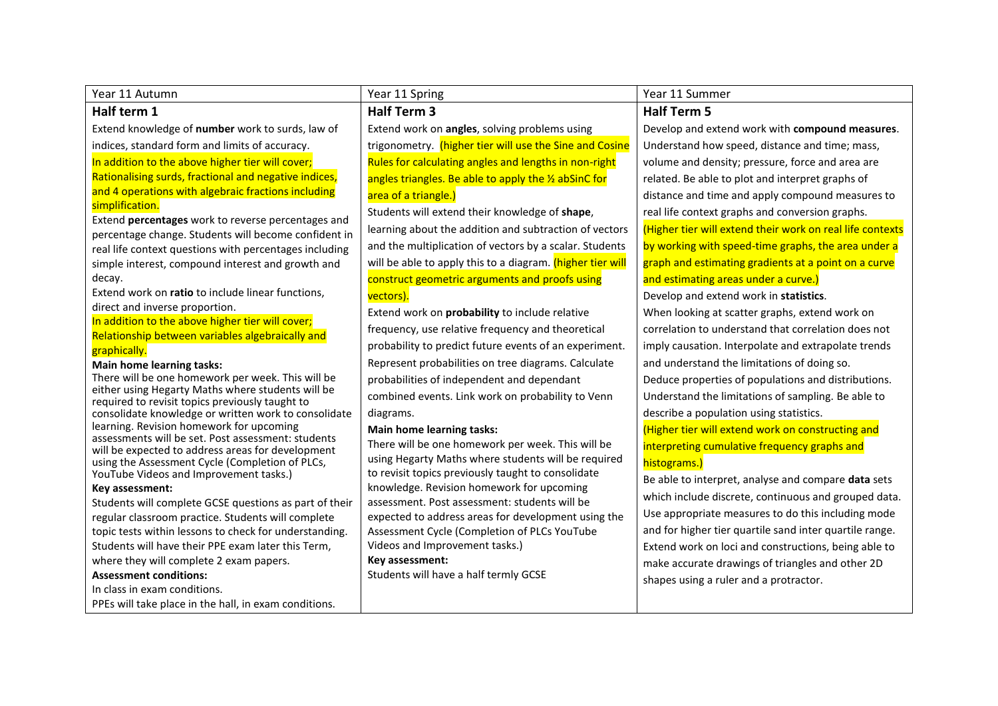| Year 11 Autumn                                                                                               | Year 11 Spring                                                                             | Year 11 Summer                                            |
|--------------------------------------------------------------------------------------------------------------|--------------------------------------------------------------------------------------------|-----------------------------------------------------------|
| Half term 1                                                                                                  | <b>Half Term 3</b>                                                                         | <b>Half Term 5</b>                                        |
| Extend knowledge of number work to surds, law of                                                             | Extend work on angles, solving problems using                                              | Develop and extend work with compound measures.           |
| indices, standard form and limits of accuracy.                                                               | trigonometry. (higher tier will use the Sine and Cosine                                    | Understand how speed, distance and time; mass,            |
| In addition to the above higher tier will cover;                                                             | Rules for calculating angles and lengths in non-right                                      | volume and density; pressure, force and area are          |
| Rationalising surds, fractional and negative indices,                                                        | angles triangles. Be able to apply the 1/2 abSinC for                                      | related. Be able to plot and interpret graphs of          |
| and 4 operations with algebraic fractions including                                                          | area of a triangle.)                                                                       | distance and time and apply compound measures to          |
| simplification.                                                                                              | Students will extend their knowledge of shape,                                             | real life context graphs and conversion graphs.           |
| Extend percentages work to reverse percentages and<br>percentage change. Students will become confident in   | learning about the addition and subtraction of vectors                                     | (Higher tier will extend their work on real life contexts |
| real life context questions with percentages including                                                       | and the multiplication of vectors by a scalar. Students                                    | by working with speed-time graphs, the area under a       |
| simple interest, compound interest and growth and                                                            | will be able to apply this to a diagram. (higher tier will                                 | graph and estimating gradients at a point on a curve      |
| decay.                                                                                                       | construct geometric arguments and proofs using                                             | and estimating areas under a curve.)                      |
| Extend work on ratio to include linear functions,                                                            | vectors).                                                                                  | Develop and extend work in statistics.                    |
| direct and inverse proportion.                                                                               | Extend work on probability to include relative                                             | When looking at scatter graphs, extend work on            |
| In addition to the above higher tier will cover;<br>Relationship between variables algebraically and         | frequency, use relative frequency and theoretical                                          | correlation to understand that correlation does not       |
| graphically.                                                                                                 | probability to predict future events of an experiment.                                     | imply causation. Interpolate and extrapolate trends       |
| <b>Main home learning tasks:</b>                                                                             | Represent probabilities on tree diagrams. Calculate                                        | and understand the limitations of doing so.               |
| There will be one homework per week. This will be                                                            | probabilities of independent and dependant                                                 | Deduce properties of populations and distributions.       |
| either using Hegarty Maths where students will be<br>required to revisit topics previously taught to         | combined events. Link work on probability to Venn                                          | Understand the limitations of sampling. Be able to        |
| consolidate knowledge or written work to consolidate                                                         | diagrams.                                                                                  | describe a population using statistics.                   |
| learning. Revision homework for upcoming                                                                     | <b>Main home learning tasks:</b>                                                           | (Higher tier will extend work on constructing and         |
| assessments will be set. Post assessment: students<br>will be expected to address areas for development      | There will be one homework per week. This will be                                          | interpreting cumulative frequency graphs and              |
| using the Assessment Cycle (Completion of PLCs,                                                              | using Hegarty Maths where students will be required                                        | histograms.)                                              |
| YouTube Videos and Improvement tasks.)                                                                       | to revisit topics previously taught to consolidate                                         | Be able to interpret, analyse and compare data sets       |
| Key assessment:                                                                                              | knowledge. Revision homework for upcoming<br>assessment. Post assessment: students will be | which include discrete, continuous and grouped data.      |
| Students will complete GCSE questions as part of their<br>regular classroom practice. Students will complete | expected to address areas for development using the                                        | Use appropriate measures to do this including mode        |
| topic tests within lessons to check for understanding.                                                       | Assessment Cycle (Completion of PLCs YouTube                                               | and for higher tier quartile sand inter quartile range.   |
| Students will have their PPE exam later this Term,                                                           | Videos and Improvement tasks.)                                                             | Extend work on loci and constructions, being able to      |
| where they will complete 2 exam papers.                                                                      | Key assessment:                                                                            | make accurate drawings of triangles and other 2D          |
| <b>Assessment conditions:</b>                                                                                | Students will have a half termly GCSE                                                      | shapes using a ruler and a protractor.                    |
| In class in exam conditions.                                                                                 |                                                                                            |                                                           |
| PPEs will take place in the hall, in exam conditions.                                                        |                                                                                            |                                                           |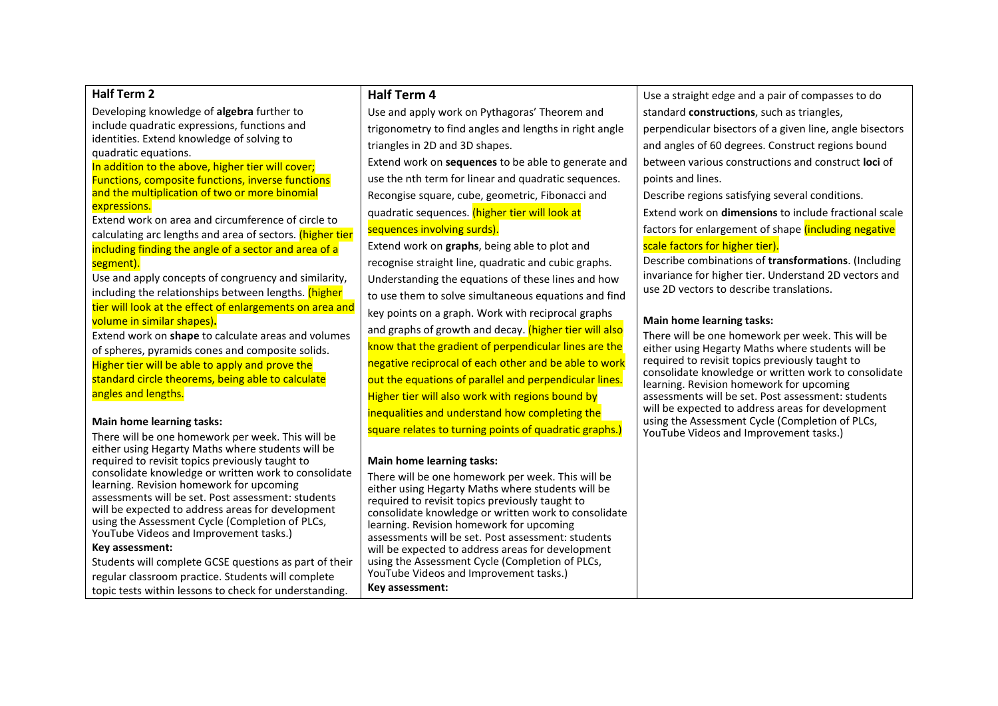# **Half Term 2**

Developing knowledge of **algebra** further to include quadratic expressions, functions and identities. Extend knowledge of solving to quadratic equations.

In addition to the above, higher tier will cover; Functions, composite functions, inverse functions and the multiplication of two or more binomial expressions.

Extend work on area and circumference of circle to calculating arc lengths and area of sectors. (higher tier including finding the angle of a sector and area of a segment).

Use and apply concepts of congruency and similarity, including the relationships between lengths. (higher tier will look at the effect of enlargements on area and volume in similar shapes)**.**

Extend work on **shape** to calculate areas and volumes of spheres, pyramids cones and composite solids. Higher tier will be able to apply and prove the standard circle theorems, being able to calculate angles and lengths.

#### **Main home learning tasks:**

There will be one homework per week. This will be either using Hegarty Maths where students will be required to revisit topics previously taught to consolidate knowledge or written work to consolidate learning. Revision homework for upcoming assessments will be set. Post assessment: students will be expected to address areas for development using the Assessment Cycle (Completion of PLCs, YouTube Videos and Improvement tasks.)

#### **Key assessment:**

Students will complete GCSE questions as part of their regular classroom practice. Students will complete topic tests within lessons to check for understanding.

# **Half Term 4**

Use and apply work on Pythagoras' Theorem and trigonometry to find angles and lengths in right angle triangles in 2D and 3D shapes.

Extend work on **sequences** to be able to generate and use the nth term for linear and quadratic sequences. Recongise square, cube, geometric, Fibonacci and quadratic sequences. (higher tier will look at sequences involving surds).

Extend work on **graphs**, being able to plot and recognise straight line, quadratic and cubic graphs. Understanding the equations of these lines and how to use them to solve simultaneous equations and find key points on a graph. Work with reciprocal graphs and graphs of growth and decay. (higher tier will also know that the gradient of perpendicular lines are the negative reciprocal of each other and be able to work out the equations of parallel and perpendicular lines. Higher tier will also work with regions bound by inequalities and understand how completing the square relates to turning points of quadratic graphs.)

### **Main home learning tasks:**

There will be one homework per week. This will be either using Hegarty Maths where students will be required to revisit topics previously taught to consolidate knowledge or written work to consolidate learning. Revision homework for upcoming assessments will be set. Post assessment: students will be expected to address areas for development using the Assessment Cycle (Completion of PLCs, YouTube Videos and Improvement tasks.) **Key assessment:**

Use a straight edge and a pair of compasses to do standard **constructions**, such as triangles, perpendicular bisectors of a given line, angle bisectors and angles of 60 degrees. Construct regions bound between various constructions and construct **loci** of points and lines.

Describe regions satisfying several conditions. Extend work on **dimensions** to include fractional scale factors for enlargement of shape *(including negative* scale factors for higher tier).

Describe combinations of **transformations**. (Including invariance for higher tier. Understand 2D vectors and use 2D vectors to describe translations.

### **Main home learning tasks:**

There will be one homework per week. This will be either using Hegarty Maths where students will be required to revisit topics previously taught to consolidate knowledge or written work to consolidate learning. Revision homework for upcoming assessments will be set. Post assessment: students will be expected to address areas for development using the Assessment Cycle (Completion of PLCs, YouTube Videos and Improvement tasks.)